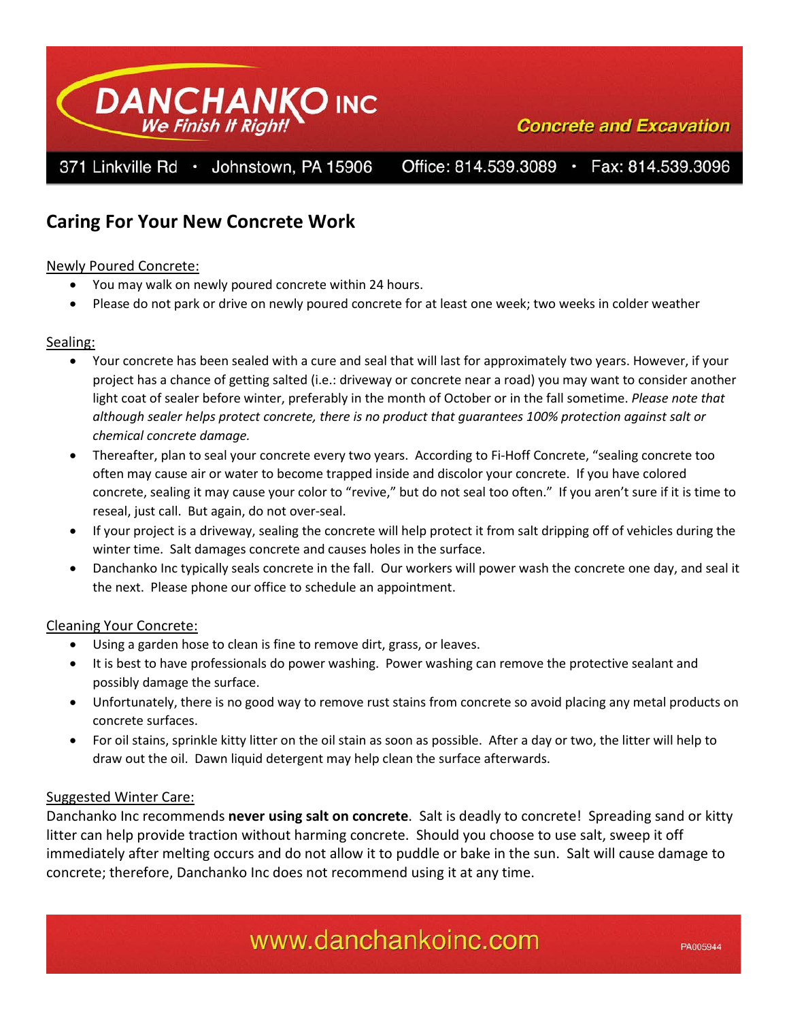

# **Caring For Your New Concrete Work**

## Newly Poured Concrete:

- You may walk on newly poured concrete within 24 hours.
- Please do not park or drive on newly poured concrete for at least one week; two weeks in colder weather

## Sealing:

- Your concrete has been sealed with a cure and seal that will last for approximately two years. However, if your project has a chance of getting salted (i.e.: driveway or concrete near a road) you may want to consider another light coat of sealer before winter, preferably in the month of October or in the fall sometime. *Please note that although sealer helps protect concrete, there is no product that guarantees 100% protection against salt or chemical concrete damage.*
- Thereafter, plan to seal your concrete every two years. According to Fi-Hoff Concrete, "sealing concrete too often may cause air or water to become trapped inside and discolor your concrete. If you have colored concrete, sealing it may cause your color to "revive," but do not seal too often." If you aren't sure if it is time to reseal, just call. But again, do not over-seal.
- If your project is a driveway, sealing the concrete will help protect it from salt dripping off of vehicles during the winter time. Salt damages concrete and causes holes in the surface.
- Danchanko Inc typically seals concrete in the fall. Our workers will power wash the concrete one day, and seal it the next. Please phone our office to schedule an appointment.

### Cleaning Your Concrete:

- Using a garden hose to clean is fine to remove dirt, grass, or leaves.
- It is best to have professionals do power washing. Power washing can remove the protective sealant and possibly damage the surface.
- Unfortunately, there is no good way to remove rust stains from concrete so avoid placing any metal products on concrete surfaces.
- For oil stains, sprinkle kitty litter on the oil stain as soon as possible. After a day or two, the litter will help to draw out the oil. Dawn liquid detergent may help clean the surface afterwards.

## Suggested Winter Care:

Danchanko Inc recommends **never using salt on concrete**. Salt is deadly to concrete! Spreading sand or kitty litter can help provide traction without harming concrete. Should you choose to use salt, sweep it off immediately after melting occurs and do not allow it to puddle or bake in the sun. Salt will cause damage to concrete; therefore, Danchanko Inc does not recommend using it at any time.